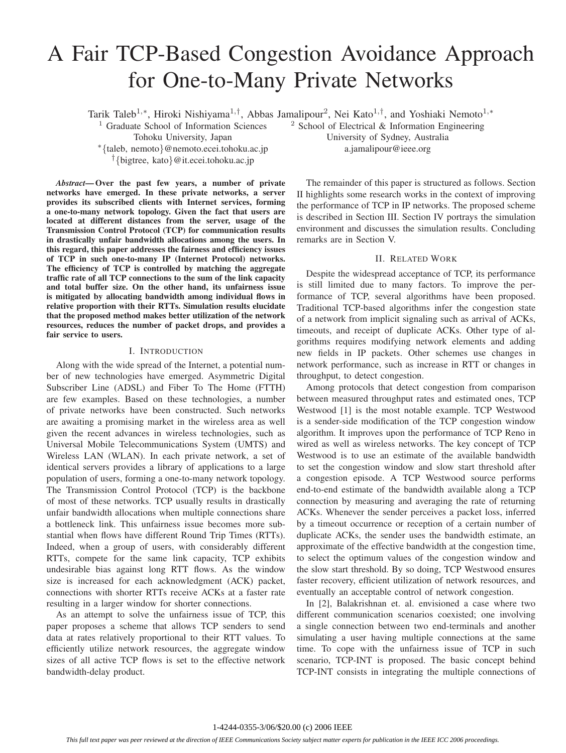# A Fair TCP-Based Congestion Avoidance Approach for One-to-Many Private Networks

Tarik Taleb<sup>1,∗</sup>, Hiroki Nishiyama<sup>1,†</sup>, Abbas Jamalipour<sup>2</sup>, Nei Kato<sup>1,†</sup>, and Yoshiaki Nemoto<sup>1,∗</sup><br><sup>1</sup> Graduate School of Information Sciences <sup>2</sup> School of Electrical & Information Engineering

†{bigtree, kato}@it.ecei.tohoku.ac.jp

*Abstract***— Over the past few years, a number of private networks have emerged. In these private networks, a server provides its subscribed clients with Internet services, forming a one-to-many network topology. Given the fact that users are located at different distances from the server, usage of the Transmission Control Protocol (TCP) for communication results in drastically unfair bandwidth allocations among the users. In this regard, this paper addresses the fairness and efficiency issues of TCP in such one-to-many IP (Internet Protocol) networks. The efficiency of TCP is controlled by matching the aggregate traffic rate of all TCP connections to the sum of the link capacity and total buffer size. On the other hand, its unfairness issue is mitigated by allocating bandwidth among individual flows in relative proportion with their RTTs. Simulation results elucidate that the proposed method makes better utilization of the network resources, reduces the number of packet drops, and provides a fair service to users.**

## I. INTRODUCTION

Along with the wide spread of the Internet, a potential number of new technologies have emerged. Asymmetric Digital Subscriber Line (ADSL) and Fiber To The Home (FTTH) are few examples. Based on these technologies, a number of private networks have been constructed. Such networks are awaiting a promising market in the wireless area as well given the recent advances in wireless technologies, such as Universal Mobile Telecommunications System (UMTS) and Wireless LAN (WLAN). In each private network, a set of identical servers provides a library of applications to a large population of users, forming a one-to-many network topology. The Transmission Control Protocol (TCP) is the backbone of most of these networks. TCP usually results in drastically unfair bandwidth allocations when multiple connections share a bottleneck link. This unfairness issue becomes more substantial when flows have different Round Trip Times (RTTs). Indeed, when a group of users, with considerably different RTTs, compete for the same link capacity, TCP exhibits undesirable bias against long RTT flows. As the window size is increased for each acknowledgment (ACK) packet, connections with shorter RTTs receive ACKs at a faster rate resulting in a larger window for shorter connections.

As an attempt to solve the unfairness issue of TCP, this paper proposes a scheme that allows TCP senders to send data at rates relatively proportional to their RTT values. To efficiently utilize network resources, the aggregate window sizes of all active TCP flows is set to the effective network bandwidth-delay product.

 $1/2$  School of Electrical & Information Engineering Tohoku University, Japan University of Sydney, Australia ∗{taleb, nemoto}@nemoto.ecei.tohoku.ac.jp a.jamalipour@ieee.org

> The remainder of this paper is structured as follows. Section II highlights some research works in the context of improving the performance of TCP in IP networks. The proposed scheme is described in Section III. Section IV portrays the simulation environment and discusses the simulation results. Concluding remarks are in Section V.

# II. RELATED WORK

Despite the widespread acceptance of TCP, its performance is still limited due to many factors. To improve the performance of TCP, several algorithms have been proposed. Traditional TCP-based algorithms infer the congestion state of a network from implicit signaling such as arrival of ACKs, timeouts, and receipt of duplicate ACKs. Other type of algorithms requires modifying network elements and adding new fields in IP packets. Other schemes use changes in network performance, such as increase in RTT or changes in throughput, to detect congestion.

Among protocols that detect congestion from comparison between measured throughput rates and estimated ones, TCP Westwood [1] is the most notable example. TCP Westwood is a sender-side modification of the TCP congestion window algorithm. It improves upon the performance of TCP Reno in wired as well as wireless networks. The key concept of TCP Westwood is to use an estimate of the available bandwidth to set the congestion window and slow start threshold after a congestion episode. A TCP Westwood source performs end-to-end estimate of the bandwidth available along a TCP connection by measuring and averaging the rate of returning ACKs. Whenever the sender perceives a packet loss, inferred by a timeout occurrence or reception of a certain number of duplicate ACKs, the sender uses the bandwidth estimate, an approximate of the effective bandwidth at the congestion time, to select the optimum values of the congestion window and the slow start threshold. By so doing, TCP Westwood ensures faster recovery, efficient utilization of network resources, and eventually an acceptable control of network congestion.

In [2], Balakrishnan et. al. envisioned a case where two different communication scenarios coexisted; one involving a single connection between two end-terminals and another simulating a user having multiple connections at the same time. To cope with the unfairness issue of TCP in such scenario, TCP-INT is proposed. The basic concept behind TCP-INT consists in integrating the multiple connections of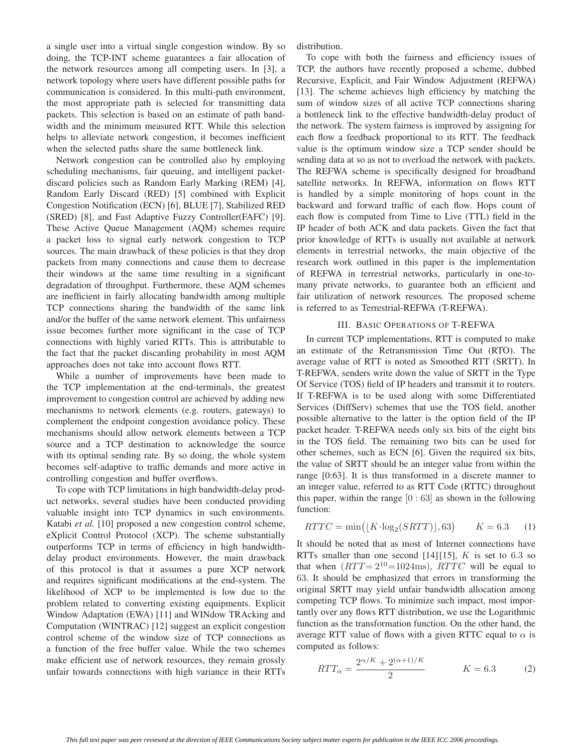a single user into a virtual single congestion window. By so doing, the TCP-INT scheme guarantees a fair allocation of the network resources among all competing users. In [3], a network topology where users have different possible paths for communication is considered. In this multi-path environment, the most appropriate path is selected for transmitting data packets. This selection is based on an estimate of path bandwidth and the minimum measured RTT. While this selection helps to alleviate network congestion, it becomes inefficient when the selected paths share the same bottleneck link.

Network congestion can be controlled also by employing scheduling mechanisms, fair queuing, and intelligent packetdiscard policies such as Random Early Marking (REM) [4], Random Early Discard (RED) [5] combined with Explicit Congestion Notification (ECN) [6], BLUE [7], Stabilized RED (SRED) [8], and Fast Adaptive Fuzzy Controller(FAFC) [9]. These Active Queue Management (AQM) schemes require a packet loss to signal early network congestion to TCP sources. The main drawback of these policies is that they drop packets from many connections and cause them to decrease their windows at the same time resulting in a significant degradation of throughput. Furthermore, these AQM schemes are inefficient in fairly allocating bandwidth among multiple TCP connections sharing the bandwidth of the same link and/or the buffer of the same network element. This unfairness issue becomes further more significant in the case of TCP connections with highly varied RTTs. This is attributable to the fact that the packet discarding probability in most AQM approaches does not take into account flows RTT.

While a number of improvements have been made to the TCP implementation at the end-terminals, the greatest improvement to congestion control are achieved by adding new mechanisms to network elements (e.g. routers, gateways) to complement the endpoint congestion avoidance policy. These mechanisms should allow network elements between a TCP source and a TCP destination to acknowledge the source with its optimal sending rate. By so doing, the whole system becomes self-adaptive to traffic demands and more active in controlling congestion and buffer overflows.

To cope with TCP limitations in high bandwidth-delay product networks, several studies have been conducted providing valuable insight into TCP dynamics in such environments. Katabi *et al.* [10] proposed a new congestion control scheme, eXplicit Control Protocol (XCP). The scheme substantially outperforms TCP in terms of efficiency in high bandwidthdelay product environments. However, the main drawback of this protocol is that it assumes a pure XCP network and requires significant modifications at the end-system. The likelihood of XCP to be implemented is low due to the problem related to converting existing equipments. Explicit Window Adaptation (EWA) [11] and WINdow TRAcking and Computation (WINTRAC) [12] suggest an explicit congestion control scheme of the window size of TCP connections as a function of the free buffer value. While the two schemes make efficient use of network resources, they remain grossly unfair towards connections with high variance in their RTTs distribution.

To cope with both the fairness and efficiency issues of TCP, the authors have recently proposed a scheme, dubbed Recursive, Explicit, and Fair Window Adjustment (REFWA) [13]. The scheme achieves high efficiency by matching the sum of window sizes of all active TCP connections sharing a bottleneck link to the effective bandwidth-delay product of the network. The system fairness is improved by assigning for each flow a feedback proportional to its RTT. The feedback value is the optimum window size a TCP sender should be sending data at so as not to overload the network with packets. The REFWA scheme is specifically designed for broadband satellite networks. In REFWA, information on flows RTT is handled by a simple monitoring of hops count in the backward and forward traffic of each flow. Hops count of each flow is computed from Time to Live (TTL) field in the IP header of both ACK and data packets. Given the fact that prior knowledge of RTTs is usually not available at network elements in terrestrial networks, the main objective of the research work outlined in this paper is the implementation of REFWA in terrestrial networks, particularly in one-tomany private networks, to guarantee both an efficient and fair utilization of network resources. The proposed scheme is referred to as Terrestrial-REFWA (T-REFWA).

## III. BASIC OPERATIONS OF T-REFWA

In current TCP implementations, RTT is computed to make an estimate of the Retransmission Time Out (RTO). The average value of RTT is noted as Smoothed RTT (SRTT). In T-REFWA, senders write down the value of SRTT in the Type Of Service (TOS) field of IP headers and transmit it to routers. If T-REFWA is to be used along with some Differentiated Services (DiffServ) schemes that use the TOS field, another possible alternative to the latter is the option field of the IP packet header. T-REFWA needs only six bits of the eight bits in the TOS field. The remaining two bits can be used for other schemes, such as ECN [6]. Given the required six bits, the value of SRTT should be an integer value from within the range [0:63]. It is thus transformed in a discrete manner to an integer value, referred to as RTT Code (RTTC) throughout this paper, within the range  $[0:63]$  as shown in the following function:

$$
RTTC = \min\left(\left[K \cdot \log_2(SRTT)\right], 63\right) \qquad K = 6.3 \tag{1}
$$

It should be noted that as most of Internet connections have RTTs smaller than one second  $[14][15]$ , K is set to 6.3 so that when  $(RTT = 2^{10} = 1024 \text{ms})$ ,  $RTTC$  will be equal to 63. It should be emphasized that errors in transforming the original SRTT may yield unfair bandwidth allocation among competing TCP flows. To minimize such impact, most importantly over any flows RTT distribution, we use the Logarithmic function as the transformation function. On the other hand, the average RTT value of flows with a given RTTC equal to  $\alpha$  is computed as follows:

$$
RTT_{\alpha} = \frac{2^{\alpha/K} + 2^{(\alpha+1)/K}}{2} \qquad K = 6.3 \qquad (2)
$$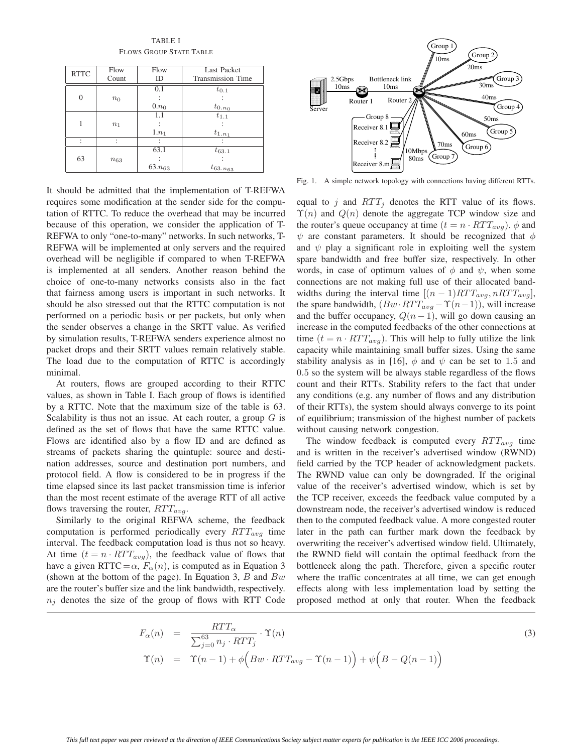TABLE I FLOWS GROUP STATE TABLE

| <b>RTTC</b>    | Flow     | Flow        | <b>Last Packet</b> |  |
|----------------|----------|-------------|--------------------|--|
|                | Count    | ID          | Transmission Time  |  |
|                |          | 0.1         | $t_{0.1}$          |  |
| $\overline{0}$ | $n_0$    |             |                    |  |
|                |          | $0.n_0$     | $t_{0.n_0}$        |  |
|                | $n_1$    | L.I         | $t_{1.1}$          |  |
|                |          |             |                    |  |
|                |          | $1.n_1$     | $t_{1,n_1}$        |  |
| ۰<br>٠         |          |             |                    |  |
| 63             |          | 63.1        | $t_{63.1}$         |  |
|                | $n_{63}$ |             |                    |  |
|                |          | $63.n_{63}$ | $t_{63.n_{63}}$    |  |

It should be admitted that the implementation of T-REFWA requires some modification at the sender side for the computation of RTTC. To reduce the overhead that may be incurred because of this operation, we consider the application of T-REFWA to only "one-to-many" networks. In such networks, T-REFWA will be implemented at only servers and the required overhead will be negligible if compared to when T-REFWA is implemented at all senders. Another reason behind the choice of one-to-many networks consists also in the fact that fairness among users is important in such networks. It should be also stressed out that the RTTC computation is not performed on a periodic basis or per packets, but only when the sender observes a change in the SRTT value. As verified by simulation results, T-REFWA senders experience almost no packet drops and their SRTT values remain relatively stable. The load due to the computation of RTTC is accordingly minimal.

At routers, flows are grouped according to their RTTC values, as shown in Table I. Each group of flows is identified by a RTTC. Note that the maximum size of the table is 63. Scalability is thus not an issue. At each router, a group  $G$  is defined as the set of flows that have the same RTTC value. Flows are identified also by a flow ID and are defined as streams of packets sharing the quintuple: source and destination addresses, source and destination port numbers, and protocol field. A flow is considered to be in progress if the time elapsed since its last packet transmission time is inferior than the most recent estimate of the average RTT of all active flows traversing the router,  $RTT_{avg}$ .

Similarly to the original REFWA scheme, the feedback computation is performed periodically every  $RTT_{avg}$  time interval. The feedback computation load is thus not so heavy. At time  $(t = n \cdot RTT_{avg})$ , the feedback value of flows that have a given RTTC =  $\alpha$ ,  $F_{\alpha}(n)$ , is computed as in Equation 3 (shown at the bottom of the page). In Equation 3,  $B$  and  $Bw$ are the router's buffer size and the link bandwidth, respectively.  $n_j$  denotes the size of the group of flows with RTT Code



Fig. 1. A simple network topology with connections having different RTTs.

equal to j and  $RTT_i$  denotes the RTT value of its flows.  $\Upsilon(n)$  and  $Q(n)$  denote the aggregate TCP window size and the router's queue occupancy at time  $(t = n \cdot RTT_{avg})$ .  $\phi$  and  $\psi$  are constant parameters. It should be recognized that  $\phi$ and  $\psi$  play a significant role in exploiting well the system spare bandwidth and free buffer size, respectively. In other words, in case of optimum values of  $\phi$  and  $\psi$ , when some connections are not making full use of their allocated bandwidths during the interval time  $[(n-1)RTT_{avg}, nRTT_{avg}]$ , the spare bandwidth,  $(Bw \cdot RTT_{avg} - \Upsilon(n-1))$ , will increase and the buffer occupancy,  $Q(n-1)$ , will go down causing an increase in the computed feedbacks of the other connections at time  $(t = n \cdot RTT_{avg})$ . This will help to fully utilize the link capacity while maintaining small buffer sizes. Using the same stability analysis as in [16],  $\phi$  and  $\psi$  can be set to 1.5 and 0.5 so the system will be always stable regardless of the flows count and their RTTs. Stability refers to the fact that under any conditions (e.g. any number of flows and any distribution of their RTTs), the system should always converge to its point of equilibrium; transmission of the highest number of packets without causing network congestion.

The window feedback is computed every  $RTT_{avg}$  time and is written in the receiver's advertised window (RWND) field carried by the TCP header of acknowledgment packets. The RWND value can only be downgraded. If the original value of the receiver's advertised window, which is set by the TCP receiver, exceeds the feedback value computed by a downstream node, the receiver's advertised window is reduced then to the computed feedback value. A more congested router later in the path can further mark down the feedback by overwriting the receiver's advertised window field. Ultimately, the RWND field will contain the optimal feedback from the bottleneck along the path. Therefore, given a specific router where the traffic concentrates at all time, we can get enough effects along with less implementation load by setting the proposed method at only that router. When the feedback

$$
F_{\alpha}(n) = \frac{RTT_{\alpha}}{\sum_{j=0}^{63} n_j \cdot RTT_j} \cdot \Upsilon(n)
$$
  
\n
$$
\Upsilon(n) = \Upsilon(n-1) + \phi\Big(Bw \cdot RTT_{avg} - \Upsilon(n-1)\Big) + \psi\Big(B - Q(n-1)\Big)
$$
\n(3)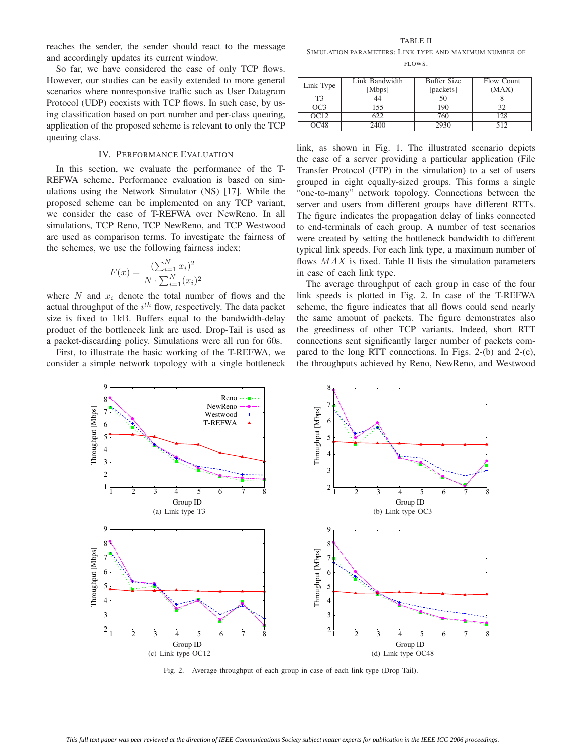reaches the sender, the sender should react to the message and accordingly updates its current window.

So far, we have considered the case of only TCP flows. However, our studies can be easily extended to more general scenarios where nonresponsive traffic such as User Datagram Protocol (UDP) coexists with TCP flows. In such case, by using classification based on port number and per-class queuing, application of the proposed scheme is relevant to only the TCP queuing class.

#### IV. PERFORMANCE EVALUATION

In this section, we evaluate the performance of the T-REFWA scheme. Performance evaluation is based on simulations using the Network Simulator (NS) [17]. While the proposed scheme can be implemented on any TCP variant, we consider the case of T-REFWA over NewReno. In all simulations, TCP Reno, TCP NewReno, and TCP Westwood are used as comparison terms. To investigate the fairness of the schemes, we use the following fairness index:

$$
F(x) = \frac{(\sum_{i=1}^{N} x_i)^2}{N \cdot \sum_{i=1}^{N} (x_i)^2}
$$

where N and  $x_i$  denote the total number of flows and the estual throughout of the *i*<sup>th</sup> flow reconstitutive. The data posite actual throughput of the  $i^{th}$  flow, respectively. The data packet size is fixed to 1kB. Buffers equal to the bandwidth-delay product of the bottleneck link are used. Drop-Tail is used as a packet-discarding policy. Simulations were all run for 60s.

First, to illustrate the basic working of the T-REFWA, we consider a simple network topology with a single bottleneck

TABLE II SIMULATION PARAMETERS: LINK TYPE AND MAXIMUM NUMBER OF FLOWS.

| Link Type       | Link Bandwidth<br>[Mbps] | <b>Buffer Size</b><br>[packets] | Flow Count<br>(MAX) |
|-----------------|--------------------------|---------------------------------|---------------------|
| ፐ3              | 44                       | 50                              |                     |
| OC <sub>3</sub> | 155                      | 190                             |                     |
| OC12            | <b>522</b>               | 760                             | 128                 |
| OC48            | 2400                     | 2930                            | 512                 |

link, as shown in Fig. 1. The illustrated scenario depicts the case of a server providing a particular application (File Transfer Protocol (FTP) in the simulation) to a set of users grouped in eight equally-sized groups. This forms a single "one-to-many" network topology. Connections between the server and users from different groups have different RTTs. The figure indicates the propagation delay of links connected to end-terminals of each group. A number of test scenarios were created by setting the bottleneck bandwidth to different typical link speeds. For each link type, a maximum number of flows  $MAX$  is fixed. Table II lists the simulation parameters in case of each link type.

The average throughput of each group in case of the four link speeds is plotted in Fig. 2. In case of the T-REFWA scheme, the figure indicates that all flows could send nearly the same amount of packets. The figure demonstrates also the greediness of other TCP variants. Indeed, short RTT connections sent significantly larger number of packets compared to the long RTT connections. In Figs. 2-(b) and 2-(c), the throughputs achieved by Reno, NewReno, and Westwood



Fig. 2. Average throughput of each group in case of each link type (Drop Tail).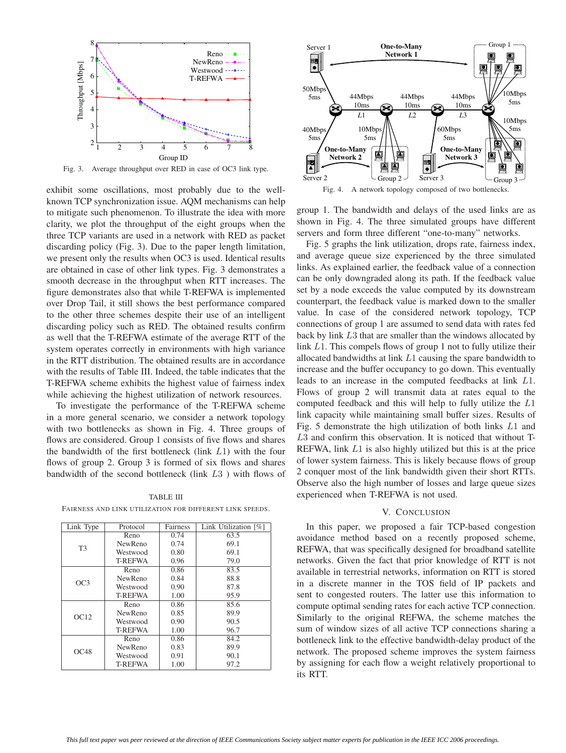

Fig. 3. Average throughput over RED in case of OC3 link type.

exhibit some oscillations, most probably due to the wellknown TCP synchronization issue. AQM mechanisms can help to mitigate such phenomenon. To illustrate the idea with more clarity, we plot the throughput of the eight groups when the three TCP variants are used in a network with RED as packet discarding policy (Fig. 3). Due to the paper length limitation, we present only the results when OC3 is used. Identical results are obtained in case of other link types. Fig. 3 demonstrates a smooth decrease in the throughput when RTT increases. The figure demonstrates also that while T-REFWA is implemented over Drop Tail, it still shows the best performance compared to the other three schemes despite their use of an intelligent discarding policy such as RED. The obtained results confirm as well that the T-REFWA estimate of the average RTT of the system operates correctly in environments with high variance in the RTT distribution. The obtained results are in accordance with the results of Table III. Indeed, the table indicates that the T-REFWA scheme exhibits the highest value of fairness index while achieving the highest utilization of network resources.

To investigate the performance of the T-REFWA scheme in a more general scenario, we consider a network topology with two bottlenecks as shown in Fig. 4. Three groups of flows are considered. Group 1 consists of five flows and shares the bandwidth of the first bottleneck (link <sup>L</sup>1) with the four flows of group 2. Group 3 is formed of six flows and shares bandwidth of the second bottleneck (link <sup>L</sup>3 ) with flows of

#### TABLE III

FAIRNESS AND LINK UTILIZATION FOR DIFFERENT LINK SPEEDS.

| Link Type      | Protocol       | Fairness | Link Utilization [%] |
|----------------|----------------|----------|----------------------|
|                | Reno           | 0.74     | 63.5                 |
| T <sub>3</sub> | <b>NewReno</b> | 0.74     | 69.1                 |
|                | Westwood       | 0.80     | 69.1                 |
|                | T-REFWA        | 0.96     | 79.0                 |
| OC3            | Reno           | 0.86     | 83.5                 |
|                | <b>NewReno</b> | 0.84     | 88.8                 |
|                | Westwood       | 0.90     | 87.8                 |
|                | T-REFWA        | 1.00     | 95.9                 |
|                | Reno           | 0.86     | 85.6                 |
|                | <b>NewReno</b> | 0.85     | 89.9                 |
| OC12           | Westwood       | 0.90     | 90.5                 |
|                | <b>T-REFWA</b> | 1.00     | 96.7                 |
|                | Reno           | 0.86     | 84.2                 |
|                | <b>NewReno</b> | 0.83     | 89.9                 |
| OC48           | Westwood       | 0.91     | 90.1                 |
|                | <b>T-REFWA</b> | 1.00     | 97.2                 |



Fig. 4. A network topology composed of two bottlenecks.

group 1. The bandwidth and delays of the used links are as shown in Fig. 4. The three simulated groups have different servers and form three different "one-to-many" networks.

Fig. 5 graphs the link utilization, drops rate, fairness index, and average queue size experienced by the three simulated links. As explained earlier, the feedback value of a connection can be only downgraded along its path. If the feedback value set by a node exceeds the value computed by its downstream counterpart, the feedback value is marked down to the smaller value. In case of the considered network topology, TCP connections of group 1 are assumed to send data with rates fed back by link <sup>L</sup>3 that are smaller than the windows allocated by link <sup>L</sup>1. This compels flows of group 1 not to fully utilize their allocated bandwidths at link <sup>L</sup>1 causing the spare bandwidth to increase and the buffer occupancy to go down. This eventually leads to an increase in the computed feedbacks at link <sup>L</sup>1. Flows of group 2 will transmit data at rates equal to the computed feedback and this will help to fully utilize the <sup>L</sup>1 link capacity while maintaining small buffer sizes. Results of Fig. 5 demonstrate the high utilization of both links <sup>L</sup>1 and <sup>L</sup>3 and confirm this observation. It is noticed that without T-REFWA, link <sup>L</sup>1 is also highly utilized but this is at the price of lower system fairness. This is likely because flows of group 2 conquer most of the link bandwidth given their short RTTs. Observe also the high number of losses and large queue sizes experienced when T-REFWA is not used.

#### V. CONCLUSION

In this paper, we proposed a fair TCP-based congestion avoidance method based on a recently proposed scheme, REFWA, that was specifically designed for broadband satellite networks. Given the fact that prior knowledge of RTT is not available in terrestrial networks, information on RTT is stored in a discrete manner in the TOS field of IP packets and sent to congested routers. The latter use this information to compute optimal sending rates for each active TCP connection. Similarly to the original REFWA, the scheme matches the sum of window sizes of all active TCP connections sharing a bottleneck link to the effective bandwidth-delay product of the network. The proposed scheme improves the system fairness by assigning for each flow a weight relatively proportional to its RTT.